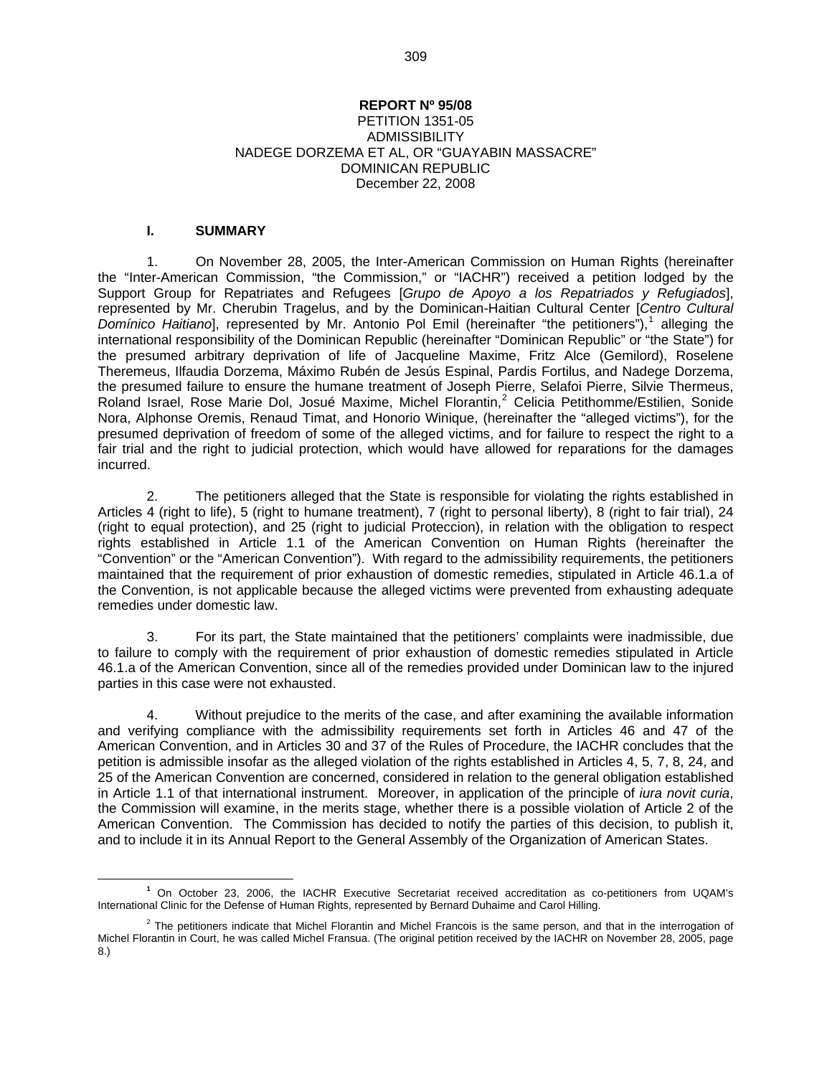#### **REPORT Nº 95/08**

#### PETITION 1351-05 **ADMISSIBILITY** NADEGE DORZEMA ET AL, OR "GUAYABIN MASSACRE" DOMINICAN REPUBLIC December 22, 2008

#### **I. SUMMARY**

1. On November 28, 2005, the Inter-American Commission on Human Rights (hereinafter the "Inter-American Commission, "the Commission," or "IACHR") received a petition lodged by the Support Group for Repatriates and Refugees [*Grupo de Apoyo a los Repatriados y Refugiados*], represented by Mr. Cherubin Tragelus, and by the Dominican-Haitian Cultural Center [*Centro Cultural*  Domínico Haitiano], represented by Mr. Antonio Pol Emil (hereinafter "the petitioners"),<sup>[1](#page-0-0)</sup> alleging the international responsibility of the Dominican Republic (hereinafter "Dominican Republic" or "the State") for the presumed arbitrary deprivation of life of Jacqueline Maxime, Fritz Alce (Gemilord), Roselene Theremeus, Ilfaudia Dorzema, Máximo Rubén de Jesús Espinal, Pardis Fortilus, and Nadege Dorzema, the presumed failure to ensure the humane treatment of Joseph Pierre, Selafoi Pierre, Silvie Thermeus, Roland Israel, Rose Marie Dol, Josué Maxime, Michel Florantin,<sup>[2](#page-0-1)</sup> Celicia Petithomme/Estilien, Sonide Nora, Alphonse Oremis, Renaud Timat, and Honorio Winique, (hereinafter the "alleged victims"), for the presumed deprivation of freedom of some of the alleged victims, and for failure to respect the right to a fair trial and the right to judicial protection, which would have allowed for reparations for the damages incurred.

2. The petitioners alleged that the State is responsible for violating the rights established in Articles 4 (right to life), 5 (right to humane treatment), 7 (right to personal liberty), 8 (right to fair trial), 24 (right to equal protection), and 25 (right to judicial Proteccion), in relation with the obligation to respect rights established in Article 1.1 of the American Convention on Human Rights (hereinafter the "Convention" or the "American Convention"). With regard to the admissibility requirements, the petitioners maintained that the requirement of prior exhaustion of domestic remedies, stipulated in Article 46.1.a of the Convention, is not applicable because the alleged victims were prevented from exhausting adequate remedies under domestic law.

3. For its part, the State maintained that the petitioners' complaints were inadmissible, due to failure to comply with the requirement of prior exhaustion of domestic remedies stipulated in Article 46.1.a of the American Convention, since all of the remedies provided under Dominican law to the injured parties in this case were not exhausted.

4. Without prejudice to the merits of the case, and after examining the available information and verifying compliance with the admissibility requirements set forth in Articles 46 and 47 of the American Convention, and in Articles 30 and 37 of the Rules of Procedure, the IACHR concludes that the petition is admissible insofar as the alleged violation of the rights established in Articles 4, 5, 7, 8, 24, and 25 of the American Convention are concerned, considered in relation to the general obligation established in Article 1.1 of that international instrument. Moreover, in application of the principle of *iura novit curia*, the Commission will examine, in the merits stage, whether there is a possible violation of Article 2 of the American Convention. The Commission has decided to notify the parties of this decision, to publish it, and to include it in its Annual Report to the General Assembly of the Organization of American States.

<span id="page-0-0"></span>**<sup>1</sup>** <sup>1</sup> On October 23, 2006, the IACHR Executive Secretariat received accreditation as co-petitioners from UQAM's International Clinic for the Defense of Human Rights, represented by Bernard Duhaime and Carol Hilling.

<span id="page-0-1"></span> $2$  The petitioners indicate that Michel Florantin and Michel Francois is the same person, and that in the interrogation of Michel Florantin in Court, he was called Michel Fransua. (The original petition received by the IACHR on November 28, 2005, page 8.)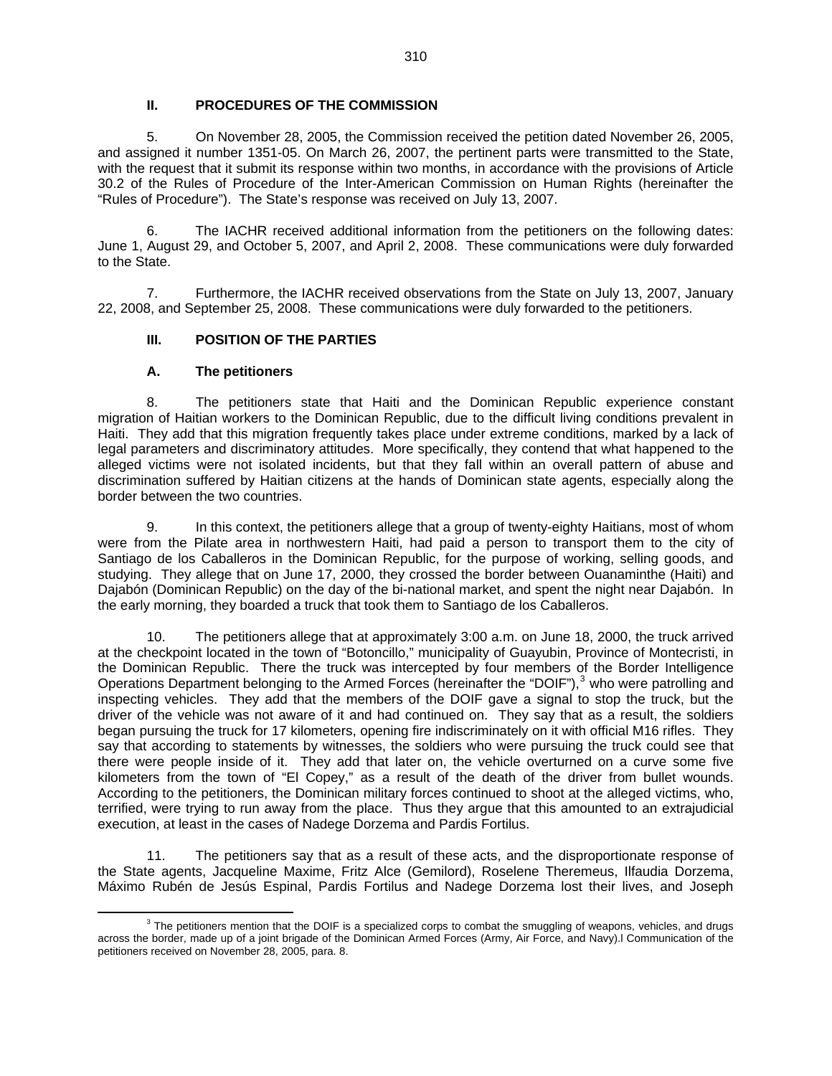### **II. PROCEDURES OF THE COMMISSION**

5. On November 28, 2005, the Commission received the petition dated November 26, 2005, and assigned it number 1351-05. On March 26, 2007, the pertinent parts were transmitted to the State, with the request that it submit its response within two months, in accordance with the provisions of Article 30.2 of the Rules of Procedure of the Inter-American Commission on Human Rights (hereinafter the "Rules of Procedure"). The State's response was received on July 13, 2007.

6. The IACHR received additional information from the petitioners on the following dates: June 1, August 29, and October 5, 2007, and April 2, 2008. These communications were duly forwarded to the State.

7. Furthermore, the IACHR received observations from the State on July 13, 2007, January 22, 2008, and September 25, 2008. These communications were duly forwarded to the petitioners.

### **III. POSITION OF THE PARTIES**

#### **A. The petitioners**

8. The petitioners state that Haiti and the Dominican Republic experience constant migration of Haitian workers to the Dominican Republic, due to the difficult living conditions prevalent in Haiti. They add that this migration frequently takes place under extreme conditions, marked by a lack of legal parameters and discriminatory attitudes. More specifically, they contend that what happened to the alleged victims were not isolated incidents, but that they fall within an overall pattern of abuse and discrimination suffered by Haitian citizens at the hands of Dominican state agents, especially along the border between the two countries.

9. In this context, the petitioners allege that a group of twenty-eighty Haitians, most of whom were from the Pilate area in northwestern Haiti, had paid a person to transport them to the city of Santiago de los Caballeros in the Dominican Republic, for the purpose of working, selling goods, and studying. They allege that on June 17, 2000, they crossed the border between Ouanaminthe (Haiti) and Dajabón (Dominican Republic) on the day of the bi-national market, and spent the night near Dajabón. In the early morning, they boarded a truck that took them to Santiago de los Caballeros.

10. The petitioners allege that at approximately 3:00 a.m. on June 18, 2000, the truck arrived at the checkpoint located in the town of "Botoncillo," municipality of Guayubin, Province of Montecristi, in the Dominican Republic. There the truck was intercepted by four members of the Border Intelligence Operations Department belonging to the Armed Forces (hereinafter the "DOIF"),<sup>[3](#page-1-0)</sup> who were patrolling and inspecting vehicles. They add that the members of the DOIF gave a signal to stop the truck, but the driver of the vehicle was not aware of it and had continued on. They say that as a result, the soldiers began pursuing the truck for 17 kilometers, opening fire indiscriminately on it with official M16 rifles. They say that according to statements by witnesses, the soldiers who were pursuing the truck could see that there were people inside of it. They add that later on, the vehicle overturned on a curve some five kilometers from the town of "El Copey," as a result of the death of the driver from bullet wounds. According to the petitioners, the Dominican military forces continued to shoot at the alleged victims, who, terrified, were trying to run away from the place. Thus they argue that this amounted to an extrajudicial execution, at least in the cases of Nadege Dorzema and Pardis Fortilus.

11. The petitioners say that as a result of these acts, and the disproportionate response of the State agents, Jacqueline Maxime, Fritz Alce (Gemilord), Roselene Theremeus, Ilfaudia Dorzema, Máximo Rubén de Jesús Espinal, Pardis Fortilus and Nadege Dorzema lost their lives, and Joseph

<span id="page-1-0"></span> $\frac{3}{3}$  $3$  The petitioners mention that the DOIF is a specialized corps to combat the smuggling of weapons, vehicles, and drugs across the border, made up of a joint brigade of the Dominican Armed Forces (Army, Air Force, and Navy).l Communication of the petitioners received on November 28, 2005, para. 8.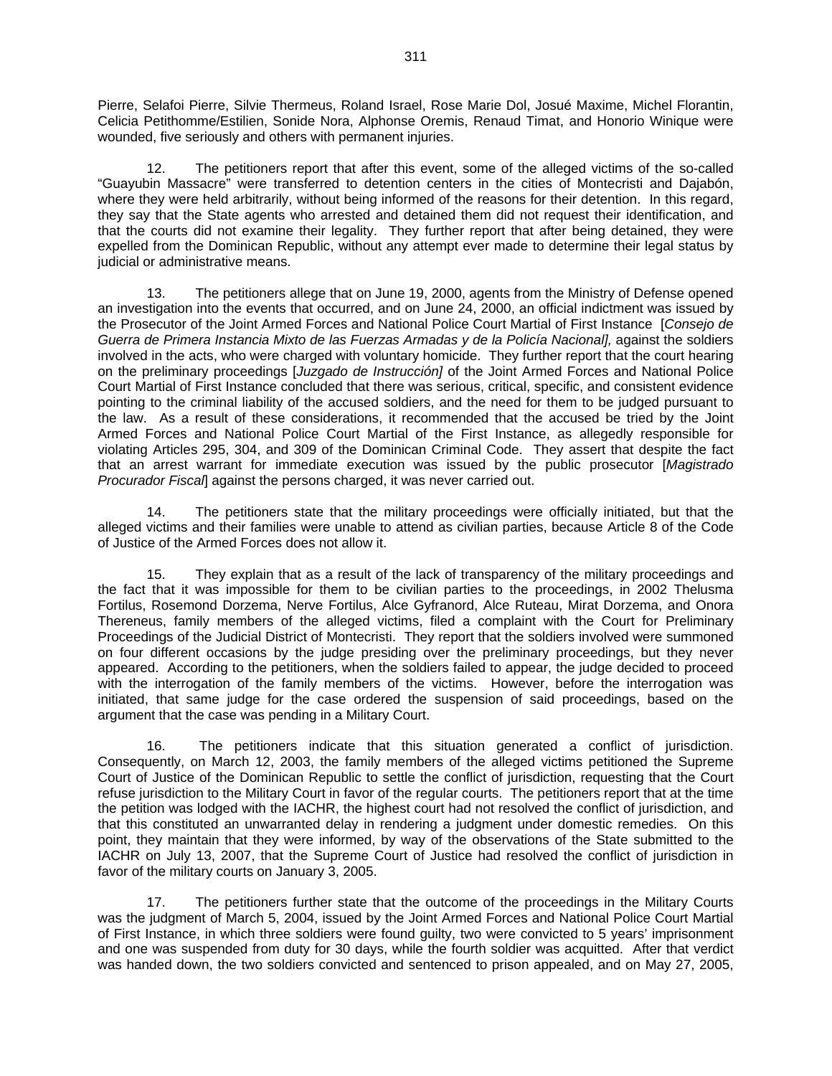Pierre, Selafoi Pierre, Silvie Thermeus, Roland Israel, Rose Marie Dol, Josué Maxime, Michel Florantin, Celicia Petithomme/Estilien, Sonide Nora, Alphonse Oremis, Renaud Timat, and Honorio Winique were wounded, five seriously and others with permanent injuries.

The petitioners report that after this event, some of the alleged victims of the so-called "Guayubin Massacre" were transferred to detention centers in the cities of Montecristi and Dajabón, where they were held arbitrarily, without being informed of the reasons for their detention. In this regard, they say that the State agents who arrested and detained them did not request their identification, and that the courts did not examine their legality. They further report that after being detained, they were expelled from the Dominican Republic, without any attempt ever made to determine their legal status by judicial or administrative means.

13. The petitioners allege that on June 19, 2000, agents from the Ministry of Defense opened an investigation into the events that occurred, and on June 24, 2000, an official indictment was issued by the Prosecutor of the Joint Armed Forces and National Police Court Martial of First Instance [*Consejo de*  Guerra de Primera Instancia Mixto de las Fuerzas Armadas y de la Policía Nacional<sub>1</sub>, against the soldiers involved in the acts, who were charged with voluntary homicide. They further report that the court hearing on the preliminary proceedings [*Juzgado de Instrucción]* of the Joint Armed Forces and National Police Court Martial of First Instance concluded that there was serious, critical, specific, and consistent evidence pointing to the criminal liability of the accused soldiers, and the need for them to be judged pursuant to the law. As a result of these considerations, it recommended that the accused be tried by the Joint Armed Forces and National Police Court Martial of the First Instance, as allegedly responsible for violating Articles 295, 304, and 309 of the Dominican Criminal Code. They assert that despite the fact that an arrest warrant for immediate execution was issued by the public prosecutor [*Magistrado Procurador Fiscal*] against the persons charged, it was never carried out.

14. The petitioners state that the military proceedings were officially initiated, but that the alleged victims and their families were unable to attend as civilian parties, because Article 8 of the Code of Justice of the Armed Forces does not allow it.

15. They explain that as a result of the lack of transparency of the military proceedings and the fact that it was impossible for them to be civilian parties to the proceedings, in 2002 Thelusma Fortilus, Rosemond Dorzema, Nerve Fortilus, Alce Gyfranord, Alce Ruteau, Mirat Dorzema, and Onora Thereneus, family members of the alleged victims, filed a complaint with the Court for Preliminary Proceedings of the Judicial District of Montecristi. They report that the soldiers involved were summoned on four different occasions by the judge presiding over the preliminary proceedings, but they never appeared. According to the petitioners, when the soldiers failed to appear, the judge decided to proceed with the interrogation of the family members of the victims. However, before the interrogation was initiated, that same judge for the case ordered the suspension of said proceedings, based on the argument that the case was pending in a Military Court.

16. The petitioners indicate that this situation generated a conflict of jurisdiction. Consequently, on March 12, 2003, the family members of the alleged victims petitioned the Supreme Court of Justice of the Dominican Republic to settle the conflict of jurisdiction, requesting that the Court refuse jurisdiction to the Military Court in favor of the regular courts. The petitioners report that at the time the petition was lodged with the IACHR, the highest court had not resolved the conflict of jurisdiction, and that this constituted an unwarranted delay in rendering a judgment under domestic remedies. On this point, they maintain that they were informed, by way of the observations of the State submitted to the IACHR on July 13, 2007, that the Supreme Court of Justice had resolved the conflict of jurisdiction in favor of the military courts on January 3, 2005.

17. The petitioners further state that the outcome of the proceedings in the Military Courts was the judgment of March 5, 2004, issued by the Joint Armed Forces and National Police Court Martial of First Instance, in which three soldiers were found guilty, two were convicted to 5 years' imprisonment and one was suspended from duty for 30 days, while the fourth soldier was acquitted. After that verdict was handed down, the two soldiers convicted and sentenced to prison appealed, and on May 27, 2005,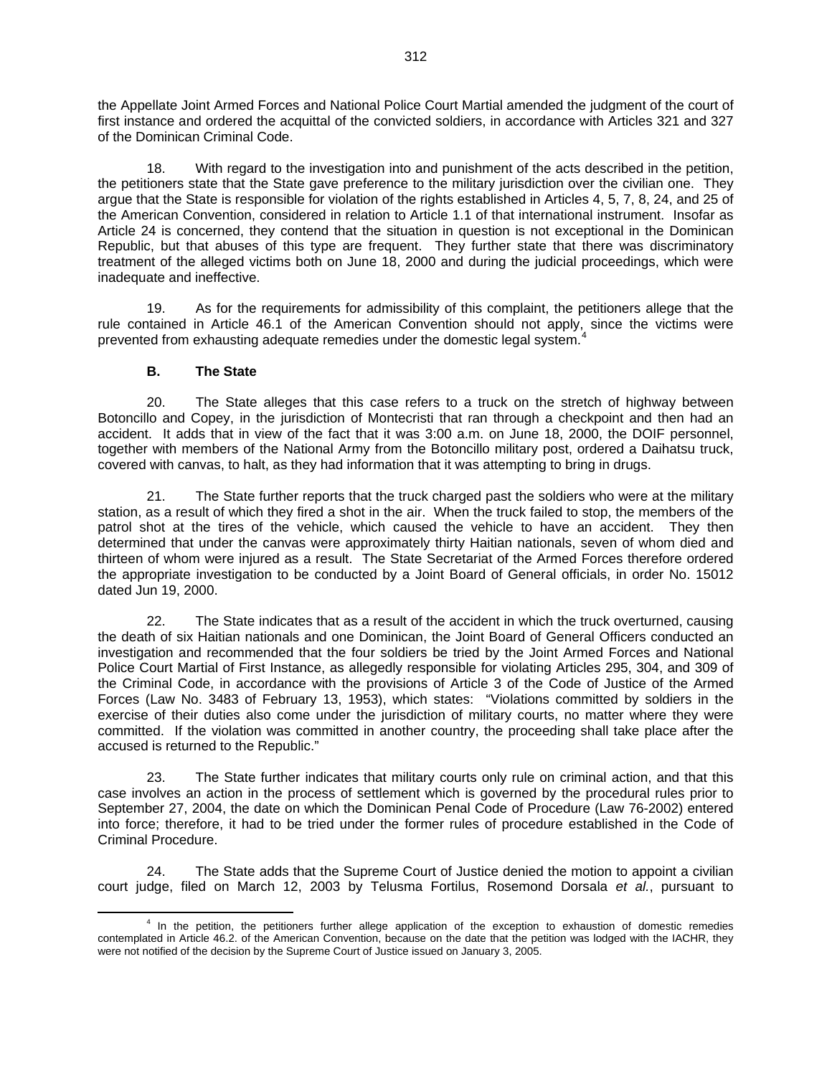the Appellate Joint Armed Forces and National Police Court Martial amended the judgment of the court of first instance and ordered the acquittal of the convicted soldiers, in accordance with Articles 321 and 327 of the Dominican Criminal Code.

18. With regard to the investigation into and punishment of the acts described in the petition, the petitioners state that the State gave preference to the military jurisdiction over the civilian one. They argue that the State is responsible for violation of the rights established in Articles 4, 5, 7, 8, 24, and 25 of the American Convention, considered in relation to Article 1.1 of that international instrument. Insofar as Article 24 is concerned, they contend that the situation in question is not exceptional in the Dominican Republic, but that abuses of this type are frequent. They further state that there was discriminatory treatment of the alleged victims both on June 18, 2000 and during the judicial proceedings, which were inadequate and ineffective.

19. As for the requirements for admissibility of this complaint, the petitioners allege that the rule contained in Article 46.1 of the American Convention should not apply, since the victims were prevented from exhausting adequate remedies under the domestic legal system.<sup>[4](#page-3-0)</sup>

### **B. The State**

20. The State alleges that this case refers to a truck on the stretch of highway between Botoncillo and Copey, in the jurisdiction of Montecristi that ran through a checkpoint and then had an accident. It adds that in view of the fact that it was 3:00 a.m. on June 18, 2000, the DOIF personnel, together with members of the National Army from the Botoncillo military post, ordered a Daihatsu truck, covered with canvas, to halt, as they had information that it was attempting to bring in drugs.

21. The State further reports that the truck charged past the soldiers who were at the military station, as a result of which they fired a shot in the air. When the truck failed to stop, the members of the patrol shot at the tires of the vehicle, which caused the vehicle to have an accident. They then determined that under the canvas were approximately thirty Haitian nationals, seven of whom died and thirteen of whom were injured as a result. The State Secretariat of the Armed Forces therefore ordered the appropriate investigation to be conducted by a Joint Board of General officials, in order No. 15012 dated Jun 19, 2000.

22. The State indicates that as a result of the accident in which the truck overturned, causing the death of six Haitian nationals and one Dominican, the Joint Board of General Officers conducted an investigation and recommended that the four soldiers be tried by the Joint Armed Forces and National Police Court Martial of First Instance, as allegedly responsible for violating Articles 295, 304, and 309 of the Criminal Code, in accordance with the provisions of Article 3 of the Code of Justice of the Armed Forces (Law No. 3483 of February 13, 1953), which states: "Violations committed by soldiers in the exercise of their duties also come under the jurisdiction of military courts, no matter where they were committed. If the violation was committed in another country, the proceeding shall take place after the accused is returned to the Republic."

23. The State further indicates that military courts only rule on criminal action, and that this case involves an action in the process of settlement which is governed by the procedural rules prior to September 27, 2004, the date on which the Dominican Penal Code of Procedure (Law 76-2002) entered into force; therefore, it had to be tried under the former rules of procedure established in the Code of Criminal Procedure.

24. The State adds that the Supreme Court of Justice denied the motion to appoint a civilian court judge, filed on March 12, 2003 by Telusma Fortilus, Rosemond Dorsala *et al.*, pursuant to

<span id="page-3-0"></span><sup>4</sup>  $4$  In the petition, the petitioners further allege application of the exception to exhaustion of domestic remedies contemplated in Article 46.2. of the American Convention, because on the date that the petition was lodged with the IACHR, they were not notified of the decision by the Supreme Court of Justice issued on January 3, 2005.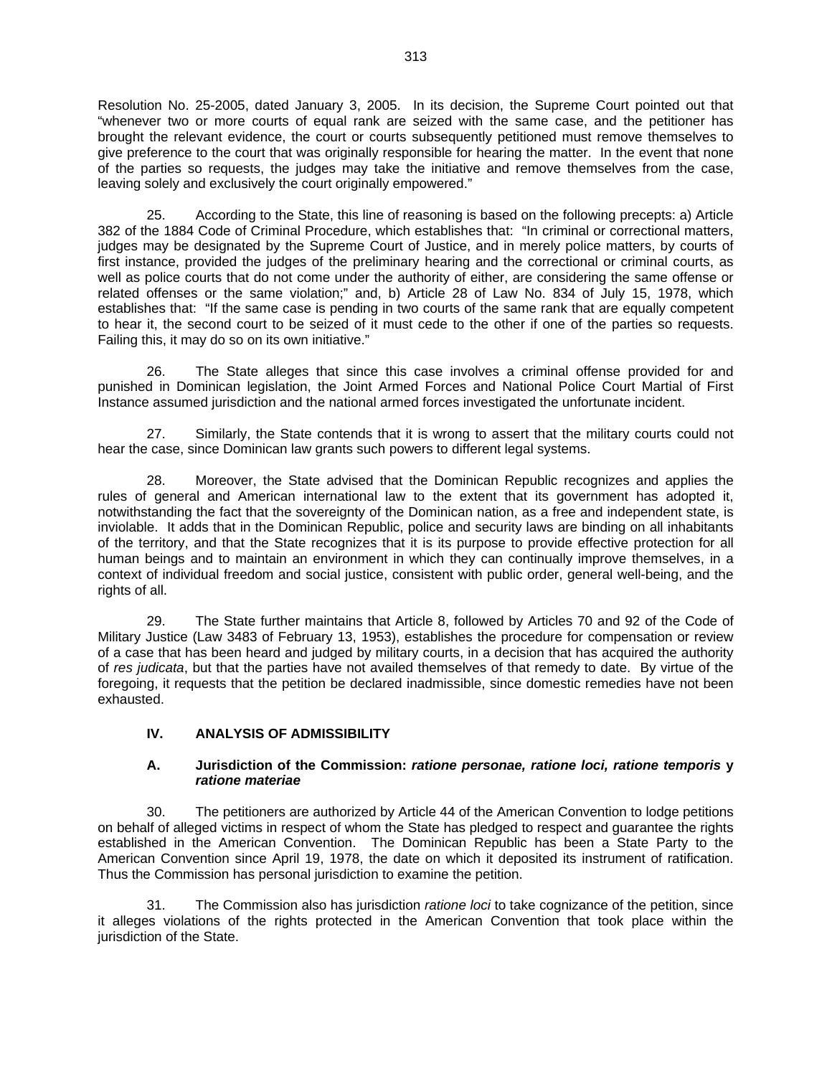Resolution No. 25-2005, dated January 3, 2005. In its decision, the Supreme Court pointed out that "whenever two or more courts of equal rank are seized with the same case, and the petitioner has brought the relevant evidence, the court or courts subsequently petitioned must remove themselves to give preference to the court that was originally responsible for hearing the matter. In the event that none of the parties so requests, the judges may take the initiative and remove themselves from the case, leaving solely and exclusively the court originally empowered."

25. According to the State, this line of reasoning is based on the following precepts: a) Article 382 of the 1884 Code of Criminal Procedure, which establishes that: "In criminal or correctional matters, judges may be designated by the Supreme Court of Justice, and in merely police matters, by courts of first instance, provided the judges of the preliminary hearing and the correctional or criminal courts, as well as police courts that do not come under the authority of either, are considering the same offense or related offenses or the same violation;" and, b) Article 28 of Law No. 834 of July 15, 1978, which establishes that: "If the same case is pending in two courts of the same rank that are equally competent to hear it, the second court to be seized of it must cede to the other if one of the parties so requests. Failing this, it may do so on its own initiative."

26. The State alleges that since this case involves a criminal offense provided for and punished in Dominican legislation, the Joint Armed Forces and National Police Court Martial of First Instance assumed jurisdiction and the national armed forces investigated the unfortunate incident.

27. Similarly, the State contends that it is wrong to assert that the military courts could not hear the case, since Dominican law grants such powers to different legal systems.

28. Moreover, the State advised that the Dominican Republic recognizes and applies the rules of general and American international law to the extent that its government has adopted it, notwithstanding the fact that the sovereignty of the Dominican nation, as a free and independent state, is inviolable. It adds that in the Dominican Republic, police and security laws are binding on all inhabitants of the territory, and that the State recognizes that it is its purpose to provide effective protection for all human beings and to maintain an environment in which they can continually improve themselves, in a context of individual freedom and social justice, consistent with public order, general well-being, and the rights of all.

29. The State further maintains that Article 8, followed by Articles 70 and 92 of the Code of Military Justice (Law 3483 of February 13, 1953), establishes the procedure for compensation or review of a case that has been heard and judged by military courts, in a decision that has acquired the authority of *res judicata*, but that the parties have not availed themselves of that remedy to date. By virtue of the foregoing, it requests that the petition be declared inadmissible, since domestic remedies have not been exhausted.

# **IV. ANALYSIS OF ADMISSIBILITY**

### **A. Jurisdiction of the Commission:** *ratione personae, ratione loci, ratione temporis* **y** *ratione materiae*

30. The petitioners are authorized by Article 44 of the American Convention to lodge petitions on behalf of alleged victims in respect of whom the State has pledged to respect and guarantee the rights established in the American Convention. The Dominican Republic has been a State Party to the American Convention since April 19, 1978, the date on which it deposited its instrument of ratification. Thus the Commission has personal jurisdiction to examine the petition.

31. The Commission also has jurisdiction *ratione loci* to take cognizance of the petition, since it alleges violations of the rights protected in the American Convention that took place within the jurisdiction of the State.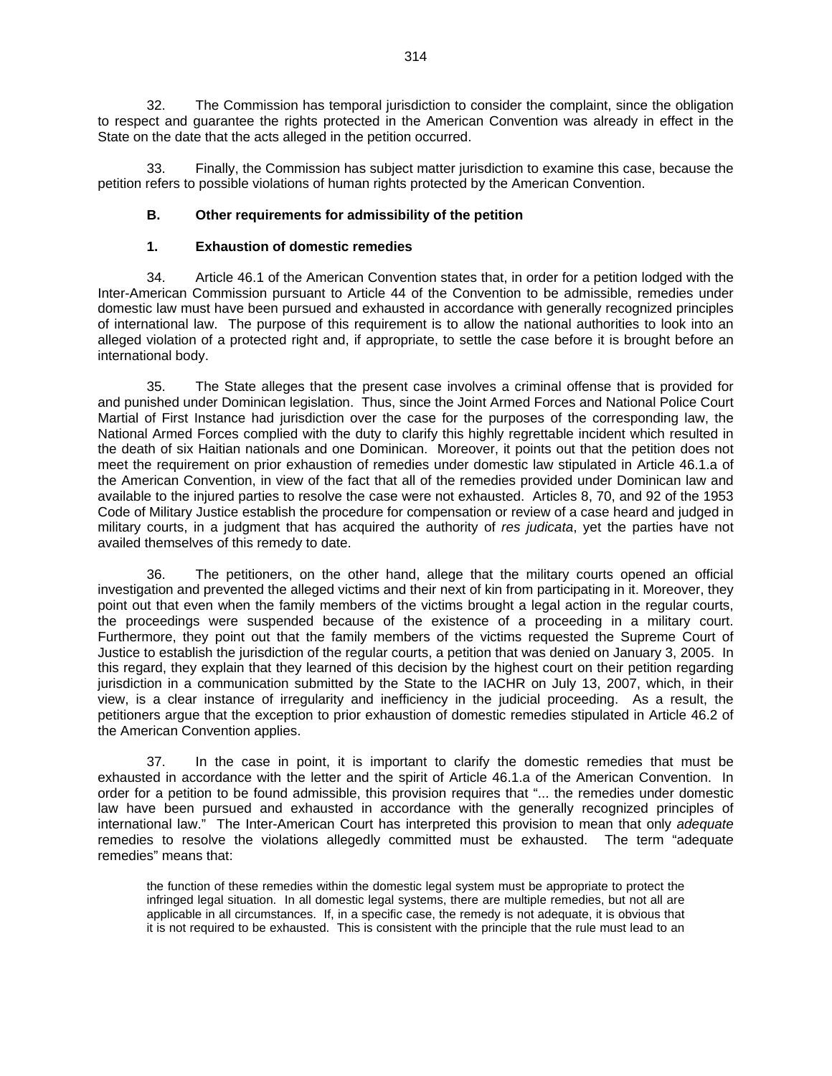32. The Commission has temporal jurisdiction to consider the complaint, since the obligation to respect and guarantee the rights protected in the American Convention was already in effect in the State on the date that the acts alleged in the petition occurred.

33. Finally, the Commission has subject matter jurisdiction to examine this case, because the petition refers to possible violations of human rights protected by the American Convention.

# **B. Other requirements for admissibility of the petition**

# **1. Exhaustion of domestic remedies**

34. Article 46.1 of the American Convention states that, in order for a petition lodged with the Inter-American Commission pursuant to Article 44 of the Convention to be admissible, remedies under domestic law must have been pursued and exhausted in accordance with generally recognized principles of international law. The purpose of this requirement is to allow the national authorities to look into an alleged violation of a protected right and, if appropriate, to settle the case before it is brought before an international body.

35. The State alleges that the present case involves a criminal offense that is provided for and punished under Dominican legislation. Thus, since the Joint Armed Forces and National Police Court Martial of First Instance had jurisdiction over the case for the purposes of the corresponding law, the National Armed Forces complied with the duty to clarify this highly regrettable incident which resulted in the death of six Haitian nationals and one Dominican. Moreover, it points out that the petition does not meet the requirement on prior exhaustion of remedies under domestic law stipulated in Article 46.1.a of the American Convention, in view of the fact that all of the remedies provided under Dominican law and available to the injured parties to resolve the case were not exhausted. Articles 8, 70, and 92 of the 1953 Code of Military Justice establish the procedure for compensation or review of a case heard and judged in military courts, in a judgment that has acquired the authority of *res judicata*, yet the parties have not availed themselves of this remedy to date.

36. The petitioners, on the other hand, allege that the military courts opened an official investigation and prevented the alleged victims and their next of kin from participating in it. Moreover, they point out that even when the family members of the victims brought a legal action in the regular courts, the proceedings were suspended because of the existence of a proceeding in a military court. Furthermore, they point out that the family members of the victims requested the Supreme Court of Justice to establish the jurisdiction of the regular courts, a petition that was denied on January 3, 2005. In this regard, they explain that they learned of this decision by the highest court on their petition regarding jurisdiction in a communication submitted by the State to the IACHR on July 13, 2007, which, in their view, is a clear instance of irregularity and inefficiency in the judicial proceeding. As a result, the petitioners argue that the exception to prior exhaustion of domestic remedies stipulated in Article 46.2 of the American Convention applies.

37. In the case in point, it is important to clarify the domestic remedies that must be exhausted in accordance with the letter and the spirit of Article 46.1.a of the American Convention. In order for a petition to be found admissible, this provision requires that "... the remedies under domestic law have been pursued and exhausted in accordance with the generally recognized principles of international law." The Inter-American Court has interpreted this provision to mean that only *adequate*  remedies to resolve the violations allegedly committed must be exhausted. The term "adequat*e*  remedies" means that:

the function of these remedies within the domestic legal system must be appropriate to protect the infringed legal situation. In all domestic legal systems, there are multiple remedies, but not all are applicable in all circumstances. If, in a specific case, the remedy is not adequate, it is obvious that it is not required to be exhausted. This is consistent with the principle that the rule must lead to an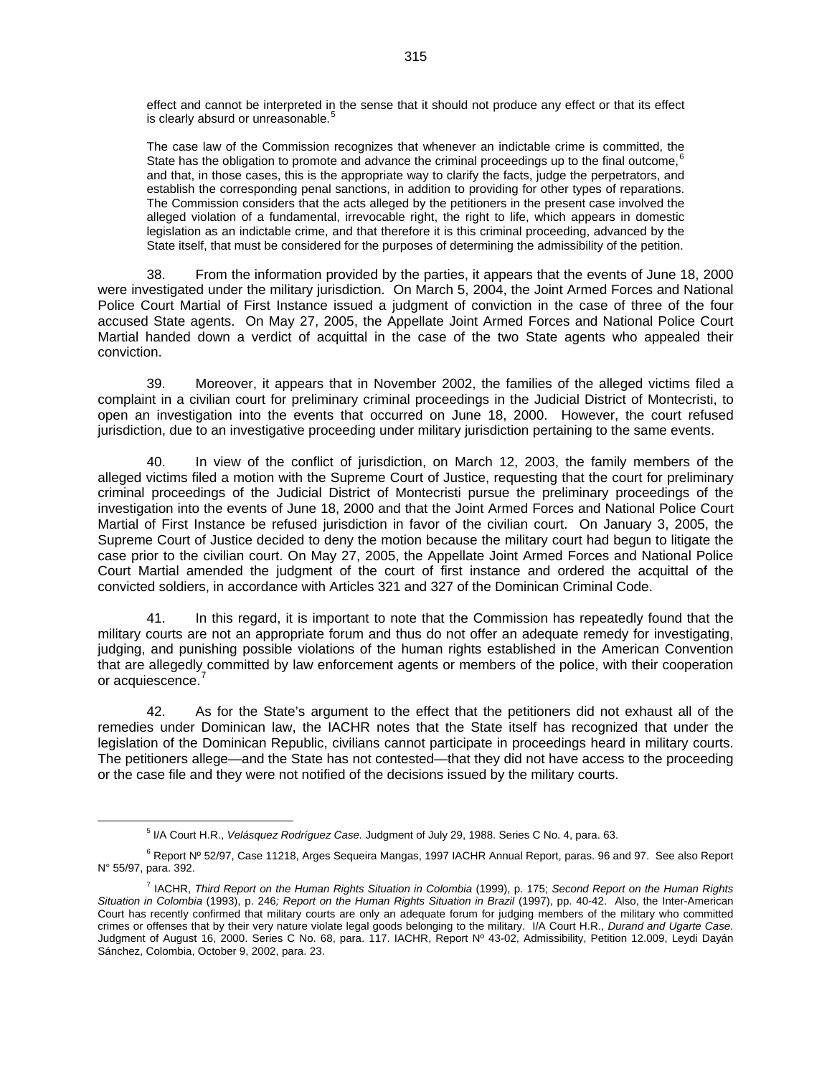effect and cannot be interpreted in the sense that it should not produce any effect or that its effect is clearly absurd or unreasonable.<sup>[5](#page-6-0)</sup>

The case law of the Commission recognizes that whenever an indictable crime is committed, the State has the obligation to promote and advance the criminal proceedings up to the final outcome,  $6$ and that, in those cases, this is the appropriate way to clarify the facts, judge the perpetrators, and establish the corresponding penal sanctions, in addition to providing for other types of reparations. The Commission considers that the acts alleged by the petitioners in the present case involved the alleged violation of a fundamental, irrevocable right, the right to life, which appears in domestic legislation as an indictable crime, and that therefore it is this criminal proceeding, advanced by the State itself, that must be considered for the purposes of determining the admissibility of the petition.

38. From the information provided by the parties, it appears that the events of June 18, 2000 were investigated under the military jurisdiction. On March 5, 2004, the Joint Armed Forces and National Police Court Martial of First Instance issued a judgment of conviction in the case of three of the four accused State agents. On May 27, 2005, the Appellate Joint Armed Forces and National Police Court Martial handed down a verdict of acquittal in the case of the two State agents who appealed their conviction.

39. Moreover, it appears that in November 2002, the families of the alleged victims filed a complaint in a civilian court for preliminary criminal proceedings in the Judicial District of Montecristi, to open an investigation into the events that occurred on June 18, 2000. However, the court refused jurisdiction, due to an investigative proceeding under military jurisdiction pertaining to the same events.

40. In view of the conflict of jurisdiction, on March 12, 2003, the family members of the alleged victims filed a motion with the Supreme Court of Justice, requesting that the court for preliminary criminal proceedings of the Judicial District of Montecristi pursue the preliminary proceedings of the investigation into the events of June 18, 2000 and that the Joint Armed Forces and National Police Court Martial of First Instance be refused jurisdiction in favor of the civilian court. On January 3, 2005, the Supreme Court of Justice decided to deny the motion because the military court had begun to litigate the case prior to the civilian court. On May 27, 2005, the Appellate Joint Armed Forces and National Police Court Martial amended the judgment of the court of first instance and ordered the acquittal of the convicted soldiers, in accordance with Articles 321 and 327 of the Dominican Criminal Code.

41. In this regard, it is important to note that the Commission has repeatedly found that the military courts are not an appropriate forum and thus do not offer an adequate remedy for investigating, judging, and punishing possible violations of the human rights established in the American Convention that are allegedly committed by law enforcement agents or members of the police, with their cooperation or acquiescence.'

42. As for the State's argument to the effect that the petitioners did not exhaust all of the remedies under Dominican law, the IACHR notes that the State itself has recognized that under the legislation of the Dominican Republic, civilians cannot participate in proceedings heard in military courts. The petitioners allege—and the State has not contested—that they did not have access to the proceeding or the case file and they were not notified of the decisions issued by the military courts.

<sup>5</sup> I/A Court H.R., *Velásquez Rodríguez Case.* Judgment of July 29, 1988. Series C No. 4, para. 63.

<span id="page-6-1"></span><span id="page-6-0"></span><sup>&</sup>lt;sup>6</sup> Report Nº 52/97, Case 11218, Arges Sequeira Mangas, 1997 IACHR Annual Report, paras. 96 and 97. See also Report N° 55/97, para. 392.

<span id="page-6-2"></span><sup>7</sup> IACHR, *Third Report on the Human Rights Situation in Colombia* (1999), p. 175; *Second Report on the Human Rights Situation in Colombia* (1993), p. 246*; Report on the Human Rights Situation in Brazil* (1997), pp. 40-42. Also, the Inter-American Court has recently confirmed that military courts are only an adequate forum for judging members of the military who committed crimes or offenses that by their very nature violate legal goods belonging to the military. I/A Court H.R., *Durand and Ugarte Case.* Judgment of August 16, 2000. Series C No. 68, para. 117. IACHR, Report Nº 43-02, Admissibility, Petition 12.009, Leydi Dayán Sánchez, Colombia, October 9, 2002, para. 23.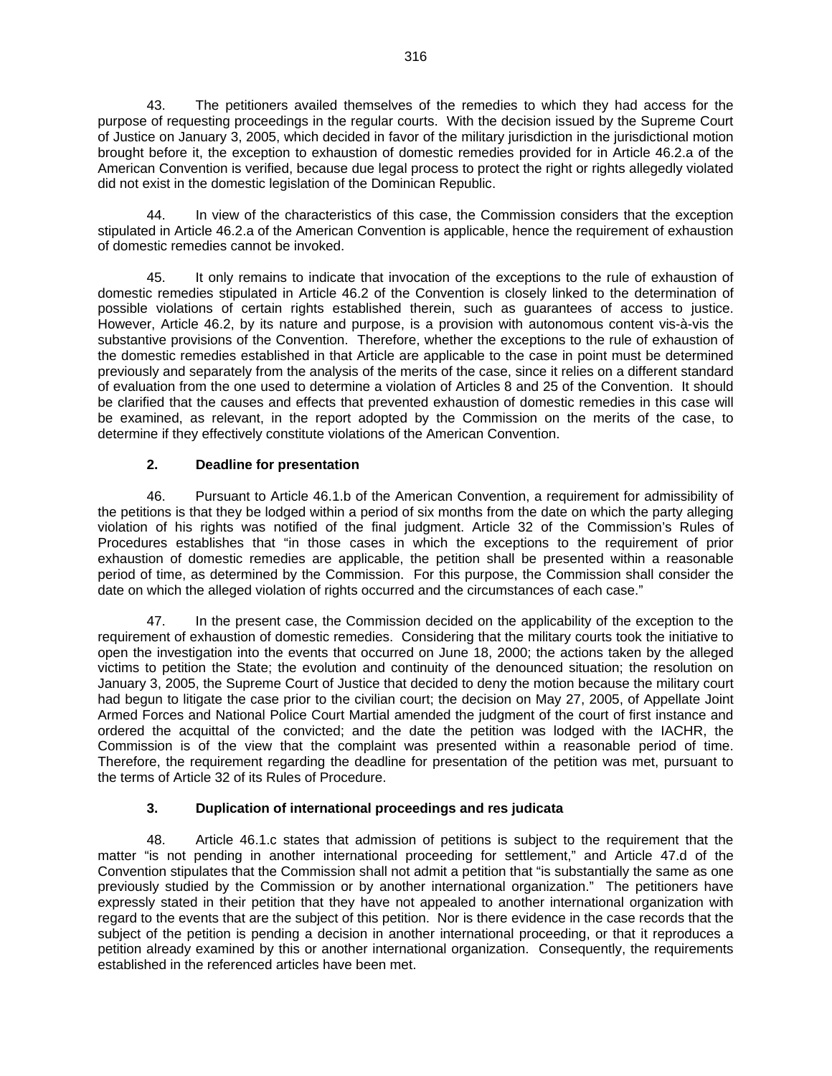43. The petitioners availed themselves of the remedies to which they had access for the purpose of requesting proceedings in the regular courts. With the decision issued by the Supreme Court of Justice on January 3, 2005, which decided in favor of the military jurisdiction in the jurisdictional motion brought before it, the exception to exhaustion of domestic remedies provided for in Article 46.2.a of the American Convention is verified, because due legal process to protect the right or rights allegedly violated did not exist in the domestic legislation of the Dominican Republic.

44. In view of the characteristics of this case, the Commission considers that the exception stipulated in Article 46.2.a of the American Convention is applicable, hence the requirement of exhaustion of domestic remedies cannot be invoked.

45. It only remains to indicate that invocation of the exceptions to the rule of exhaustion of domestic remedies stipulated in Article 46.2 of the Convention is closely linked to the determination of possible violations of certain rights established therein, such as guarantees of access to justice. However, Article 46.2, by its nature and purpose, is a provision with autonomous content vis-à-vis the substantive provisions of the Convention. Therefore, whether the exceptions to the rule of exhaustion of the domestic remedies established in that Article are applicable to the case in point must be determined previously and separately from the analysis of the merits of the case, since it relies on a different standard of evaluation from the one used to determine a violation of Articles 8 and 25 of the Convention. It should be clarified that the causes and effects that prevented exhaustion of domestic remedies in this case will be examined, as relevant, in the report adopted by the Commission on the merits of the case, to determine if they effectively constitute violations of the American Convention.

# **2. Deadline for presentation**

46. Pursuant to Article 46.1.b of the American Convention, a requirement for admissibility of the petitions is that they be lodged within a period of six months from the date on which the party alleging violation of his rights was notified of the final judgment. Article 32 of the Commission's Rules of Procedures establishes that "in those cases in which the exceptions to the requirement of prior exhaustion of domestic remedies are applicable, the petition shall be presented within a reasonable period of time, as determined by the Commission. For this purpose, the Commission shall consider the date on which the alleged violation of rights occurred and the circumstances of each case."

47. In the present case, the Commission decided on the applicability of the exception to the requirement of exhaustion of domestic remedies. Considering that the military courts took the initiative to open the investigation into the events that occurred on June 18, 2000; the actions taken by the alleged victims to petition the State; the evolution and continuity of the denounced situation; the resolution on January 3, 2005, the Supreme Court of Justice that decided to deny the motion because the military court had begun to litigate the case prior to the civilian court; the decision on May 27, 2005, of Appellate Joint Armed Forces and National Police Court Martial amended the judgment of the court of first instance and ordered the acquittal of the convicted; and the date the petition was lodged with the IACHR, the Commission is of the view that the complaint was presented within a reasonable period of time. Therefore, the requirement regarding the deadline for presentation of the petition was met, pursuant to the terms of Article 32 of its Rules of Procedure.

# **3. Duplication of international proceedings and res judicata**

48. Article 46.1.c states that admission of petitions is subject to the requirement that the matter "is not pending in another international proceeding for settlement," and Article 47.d of the Convention stipulates that the Commission shall not admit a petition that "is substantially the same as one previously studied by the Commission or by another international organization." The petitioners have expressly stated in their petition that they have not appealed to another international organization with regard to the events that are the subject of this petition. Nor is there evidence in the case records that the subject of the petition is pending a decision in another international proceeding, or that it reproduces a petition already examined by this or another international organization. Consequently, the requirements established in the referenced articles have been met.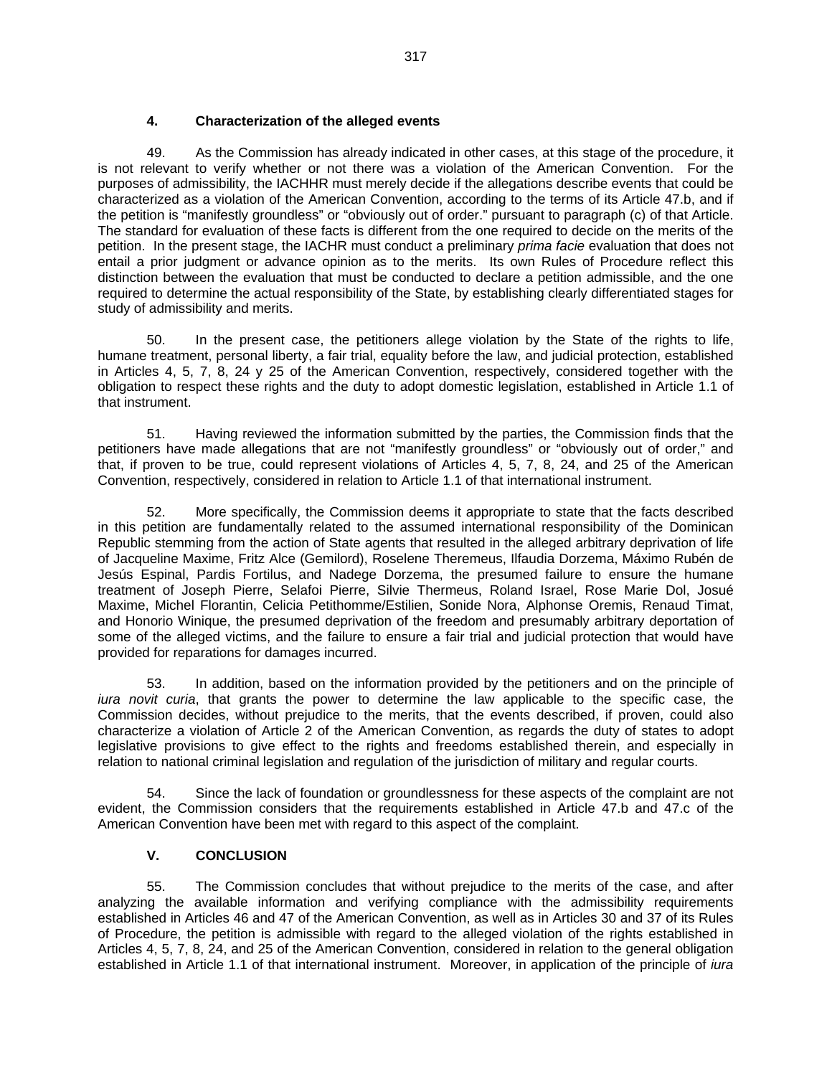### **4. Characterization of the alleged events**

49. As the Commission has already indicated in other cases, at this stage of the procedure, it is not relevant to verify whether or not there was a violation of the American Convention. For the purposes of admissibility, the IACHHR must merely decide if the allegations describe events that could be characterized as a violation of the American Convention, according to the terms of its Article 47.b, and if the petition is "manifestly groundless" or "obviously out of order." pursuant to paragraph (c) of that Article. The standard for evaluation of these facts is different from the one required to decide on the merits of the petition. In the present stage, the IACHR must conduct a preliminary *prima facie* evaluation that does not entail a prior judgment or advance opinion as to the merits. Its own Rules of Procedure reflect this distinction between the evaluation that must be conducted to declare a petition admissible, and the one required to determine the actual responsibility of the State, by establishing clearly differentiated stages for study of admissibility and merits.

50. In the present case, the petitioners allege violation by the State of the rights to life, humane treatment, personal liberty, a fair trial, equality before the law, and judicial protection, established in Articles 4, 5, 7, 8, 24 y 25 of the American Convention, respectively, considered together with the obligation to respect these rights and the duty to adopt domestic legislation, established in Article 1.1 of that instrument.

51. Having reviewed the information submitted by the parties, the Commission finds that the petitioners have made allegations that are not "manifestly groundless" or "obviously out of order," and that, if proven to be true, could represent violations of Articles 4, 5, 7, 8, 24, and 25 of the American Convention, respectively, considered in relation to Article 1.1 of that international instrument.

52. More specifically, the Commission deems it appropriate to state that the facts described in this petition are fundamentally related to the assumed international responsibility of the Dominican Republic stemming from the action of State agents that resulted in the alleged arbitrary deprivation of life of Jacqueline Maxime, Fritz Alce (Gemilord), Roselene Theremeus, Ilfaudia Dorzema, Máximo Rubén de Jesús Espinal, Pardis Fortilus, and Nadege Dorzema, the presumed failure to ensure the humane treatment of Joseph Pierre, Selafoi Pierre, Silvie Thermeus, Roland Israel, Rose Marie Dol, Josué Maxime, Michel Florantin, Celicia Petithomme/Estilien, Sonide Nora, Alphonse Oremis, Renaud Timat, and Honorio Winique, the presumed deprivation of the freedom and presumably arbitrary deportation of some of the alleged victims, and the failure to ensure a fair trial and judicial protection that would have provided for reparations for damages incurred.

53. In addition, based on the information provided by the petitioners and on the principle of *iura novit curia*, that grants the power to determine the law applicable to the specific case, the Commission decides, without prejudice to the merits, that the events described, if proven, could also characterize a violation of Article 2 of the American Convention, as regards the duty of states to adopt legislative provisions to give effect to the rights and freedoms established therein, and especially in relation to national criminal legislation and regulation of the jurisdiction of military and regular courts.

54. Since the lack of foundation or groundlessness for these aspects of the complaint are not evident, the Commission considers that the requirements established in Article 47.b and 47.c of the American Convention have been met with regard to this aspect of the complaint.

# **V. CONCLUSION**

55. The Commission concludes that without prejudice to the merits of the case, and after analyzing the available information and verifying compliance with the admissibility requirements established in Articles 46 and 47 of the American Convention, as well as in Articles 30 and 37 of its Rules of Procedure, the petition is admissible with regard to the alleged violation of the rights established in Articles 4, 5, 7, 8, 24, and 25 of the American Convention, considered in relation to the general obligation established in Article 1.1 of that international instrument. Moreover, in application of the principle of *iura*